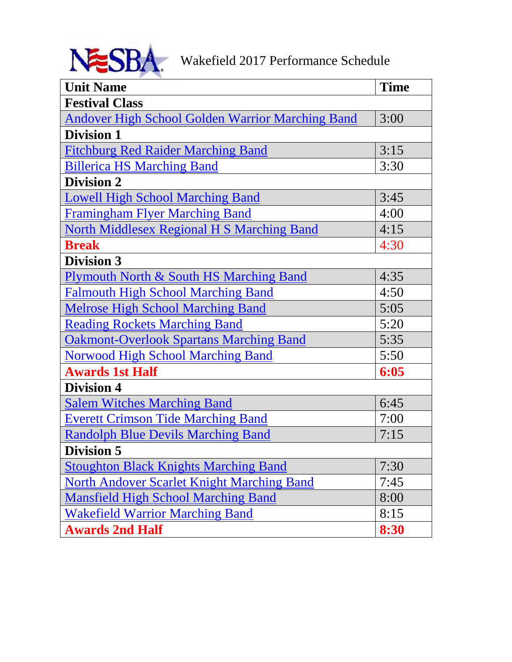<span id="page-0-0"></span>

| <b>Unit Name</b>                                        | <b>Time</b> |
|---------------------------------------------------------|-------------|
| <b>Festival Class</b>                                   |             |
| <b>Andover High School Golden Warrior Marching Band</b> | 3:00        |
| <b>Division 1</b>                                       |             |
| <b>Fitchburg Red Raider Marching Band</b>               | 3:15        |
| <b>Billerica HS Marching Band</b>                       | 3:30        |
| <b>Division 2</b>                                       |             |
| <b>Lowell High School Marching Band</b>                 | 3:45        |
| <b>Framingham Flyer Marching Band</b>                   | 4:00        |
| <b>North Middlesex Regional H S Marching Band</b>       | 4:15        |
| <b>Break</b>                                            | 4:30        |
| <b>Division 3</b>                                       |             |
| Plymouth North & South HS Marching Band                 | 4:35        |
| <b>Falmouth High School Marching Band</b>               | 4:50        |
| <b>Melrose High School Marching Band</b>                | 5:05        |
| <b>Reading Rockets Marching Band</b>                    | 5:20        |
| <b>Oakmont-Overlook Spartans Marching Band</b>          | 5:35        |
| <b>Norwood High School Marching Band</b>                | 5:50        |
| <b>Awards 1st Half</b>                                  | 6:05        |
| <b>Division 4</b>                                       |             |
| <b>Salem Witches Marching Band</b>                      | 6:45        |
| <b>Everett Crimson Tide Marching Band</b>               | 7:00        |
| <b>Randolph Blue Devils Marching Band</b>               | 7:15        |
| <b>Division 5</b>                                       |             |
| <b>Stoughton Black Knights Marching Band</b>            | 7:30        |
| <b>North Andover Scarlet Knight Marching Band</b>       | 7:45        |
| <b>Mansfield High School Marching Band</b>              | 8:00        |
| <b>Wakefield Warrior Marching Band</b>                  | 8:15        |
| <b>Awards 2nd Half</b>                                  | 8:30        |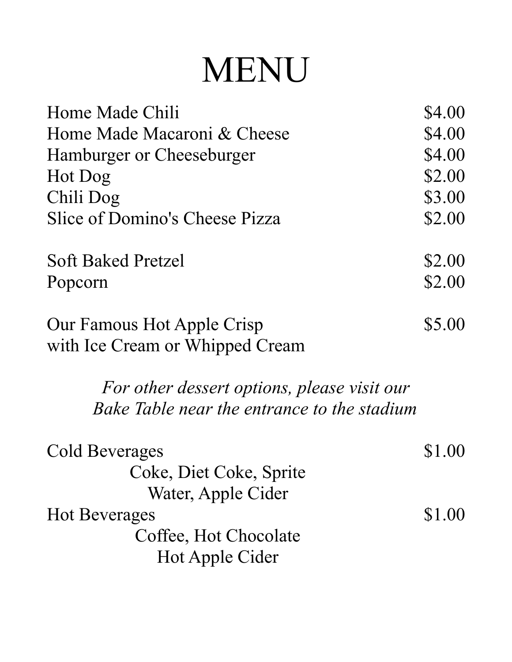# MENU

| \$4.00 |
|--------|
| \$4.00 |
| \$4.00 |
| \$2.00 |
| \$3.00 |
| \$2.00 |
| \$2.00 |
| \$2.00 |
| \$5.00 |
|        |
|        |
|        |
| \$1.00 |
|        |
|        |
| \$1.00 |
|        |
|        |
|        |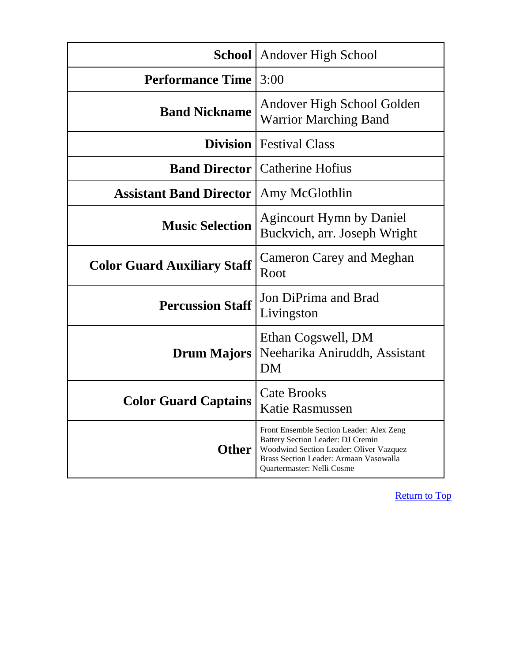<span id="page-2-0"></span>

|                                                 | <b>School</b> Andover High School                                                                                                                                                                |
|-------------------------------------------------|--------------------------------------------------------------------------------------------------------------------------------------------------------------------------------------------------|
| <b>Performance Time</b>                         | 3:00                                                                                                                                                                                             |
| <b>Band Nickname</b>                            | Andover High School Golden<br><b>Warrior Marching Band</b>                                                                                                                                       |
|                                                 | <b>Division</b>   Festival Class                                                                                                                                                                 |
|                                                 | <b>Band Director</b>   Catherine Hofius                                                                                                                                                          |
| <b>Assistant Band Director   Amy McGlothlin</b> |                                                                                                                                                                                                  |
| <b>Music Selection</b>                          | <b>Agincourt Hymn by Daniel</b><br>Buckvich, arr. Joseph Wright                                                                                                                                  |
| <b>Color Guard Auxiliary Staff</b>              | Cameron Carey and Meghan<br>Root                                                                                                                                                                 |
| <b>Percussion Staff</b>                         | Jon DiPrima and Brad<br>Livingston                                                                                                                                                               |
| <b>Drum Majors</b>                              | Ethan Cogswell, DM<br>Neeharika Aniruddh, Assistant<br>DM                                                                                                                                        |
| <b>Color Guard Captains</b>                     | <b>Cate Brooks</b><br>Katie Rasmussen                                                                                                                                                            |
| <b>Other</b>                                    | Front Ensemble Section Leader: Alex Zeng<br>Battery Section Leader: DJ Cremin<br>Woodwind Section Leader: Oliver Vazquez<br>Brass Section Leader: Armaan Vasowalla<br>Quartermaster: Nelli Cosme |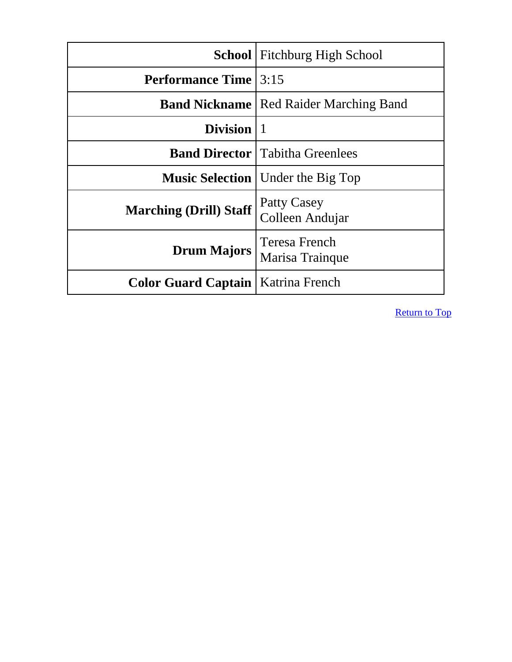<span id="page-3-0"></span>

|                                             | <b>School</b> Fitchburg High School             |
|---------------------------------------------|-------------------------------------------------|
| <b>Performance Time</b> 3:15                |                                                 |
|                                             | <b>Band Nickname</b>   Red Raider Marching Band |
| Division   1                                |                                                 |
|                                             | <b>Band Director</b>   Tabitha Greenlees        |
|                                             | <b>Music Selection</b>   Under the Big Top      |
| <b>Marching (Drill) Staff</b>               | Patty Casey<br>Colleen Andujar                  |
| <b>Drum Majors</b>                          | <b>Teresa French</b><br>Marisa Trainque         |
| <b>Color Guard Captain   Katrina French</b> |                                                 |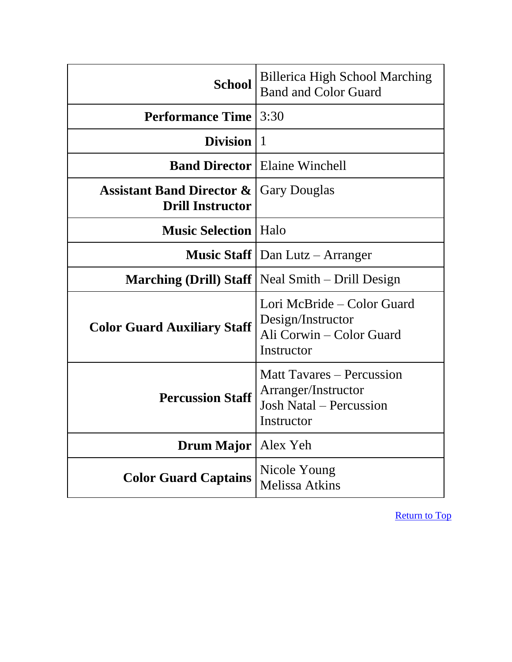<span id="page-4-0"></span>

| <b>School</b>                                                   | <b>Billerica High School Marching</b><br><b>Band and Color Guard</b>                                    |
|-----------------------------------------------------------------|---------------------------------------------------------------------------------------------------------|
| <b>Performance Time</b>                                         | 3:30                                                                                                    |
| Division $ 1$                                                   |                                                                                                         |
|                                                                 | <b>Band Director</b> Elaine Winchell                                                                    |
| <b>Assistant Band Director &amp;</b><br><b>Drill Instructor</b> | <b>Gary Douglas</b>                                                                                     |
| <b>Music Selection</b>   Halo                                   |                                                                                                         |
|                                                                 | <b>Music Staff</b> $\vert$ Dan Lutz – Arranger                                                          |
|                                                                 | <b>Marching (Drill) Staff</b>   Neal Smith – Drill Design                                               |
| <b>Color Guard Auxiliary Staff</b>                              | Lori McBride – Color Guard<br>Design/Instructor<br>Ali Corwin – Color Guard<br>Instructor               |
| <b>Percussion Staff</b>                                         | <b>Matt Tavares – Percussion</b><br>Arranger/Instructor<br><b>Josh Natal – Percussion</b><br>Instructor |
| <b>Drum Major</b>                                               | Alex Yeh                                                                                                |
| <b>Color Guard Captains</b>                                     | Nicole Young<br><b>Melissa Atkins</b>                                                                   |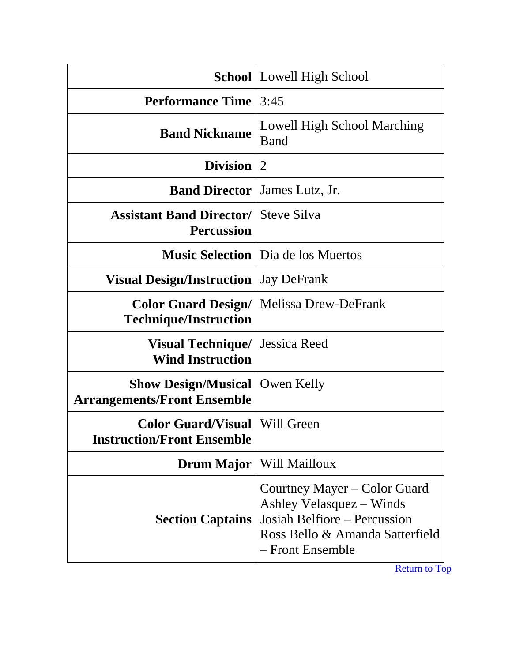<span id="page-5-0"></span>

|                                                                             | <b>School</b>   Lowell High School                                                                                                              |
|-----------------------------------------------------------------------------|-------------------------------------------------------------------------------------------------------------------------------------------------|
| <b>Performance Time</b>                                                     | 3:45                                                                                                                                            |
| <b>Band Nickname</b>                                                        | Lowell High School Marching<br>Band                                                                                                             |
| <b>Division</b>                                                             | $\overline{2}$                                                                                                                                  |
| <b>Band Director</b>                                                        | James Lutz, Jr.                                                                                                                                 |
| <b>Assistant Band Director/</b><br><b>Percussion</b>                        | <b>Steve Silva</b>                                                                                                                              |
|                                                                             | <b>Music Selection</b>   Dia de los Muertos                                                                                                     |
| <b>Visual Design/Instruction</b>                                            | <b>Jay DeFrank</b>                                                                                                                              |
| <b>Color Guard Design/</b><br><b>Technique/Instruction</b>                  | <b>Melissa Drew-DeFrank</b>                                                                                                                     |
| <b>Visual Technique/</b><br><b>Wind Instruction</b>                         | Jessica Reed                                                                                                                                    |
| <b>Show Design/Musical</b><br><b>Arrangements/Front Ensemble</b>            | Owen Kelly                                                                                                                                      |
| <b>Color Guard/Visual   Will Green</b><br><b>Instruction/Front Ensemble</b> |                                                                                                                                                 |
| <b>Drum Major</b>                                                           | Will Mailloux                                                                                                                                   |
| <b>Section Captains</b>                                                     | Courtney Mayer – Color Guard<br>Ashley Velasquez – Winds<br>Josiah Belfiore - Percussion<br>Ross Bello & Amanda Satterfield<br>- Front Ensemble |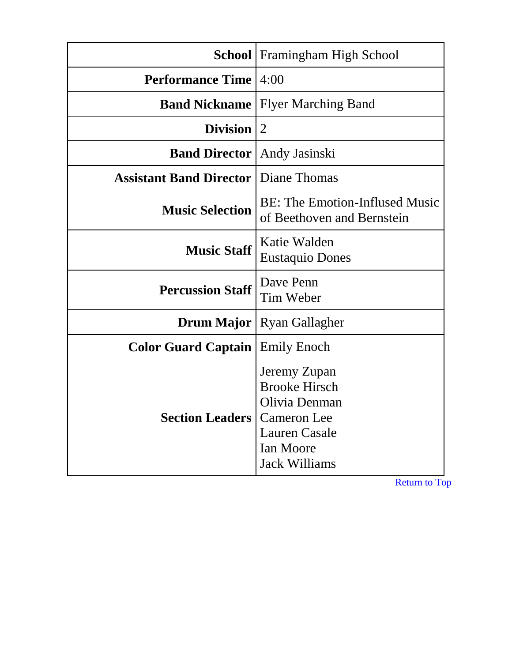<span id="page-6-0"></span>

|                                | School   Framingham High School                                                                                                                 |
|--------------------------------|-------------------------------------------------------------------------------------------------------------------------------------------------|
| <b>Performance Time</b>        | 4:00                                                                                                                                            |
| <b>Band Nickname</b>           | <b>Flyer Marching Band</b>                                                                                                                      |
| <b>Division</b>                | $\overline{2}$                                                                                                                                  |
| <b>Band Director</b>           | Andy Jasinski                                                                                                                                   |
| <b>Assistant Band Director</b> | Diane Thomas                                                                                                                                    |
| <b>Music Selection</b>         | <b>BE: The Emotion-Inflused Music</b><br>of Beethoven and Bernstein                                                                             |
| <b>Music Staff</b>             | Katie Walden<br><b>Eustaquio Dones</b>                                                                                                          |
| <b>Percussion Staff</b>        | Dave Penn<br>Tim Weber                                                                                                                          |
| Drum Major                     | <b>Ryan Gallagher</b>                                                                                                                           |
| <b>Color Guard Captain</b>     | <b>Emily Enoch</b>                                                                                                                              |
| <b>Section Leaders</b>         | Jeremy Zupan<br><b>Brooke Hirsch</b><br>Olivia Denman<br><b>Cameron</b> Lee<br><b>Lauren Casale</b><br><b>Ian Moore</b><br><b>Jack Williams</b> |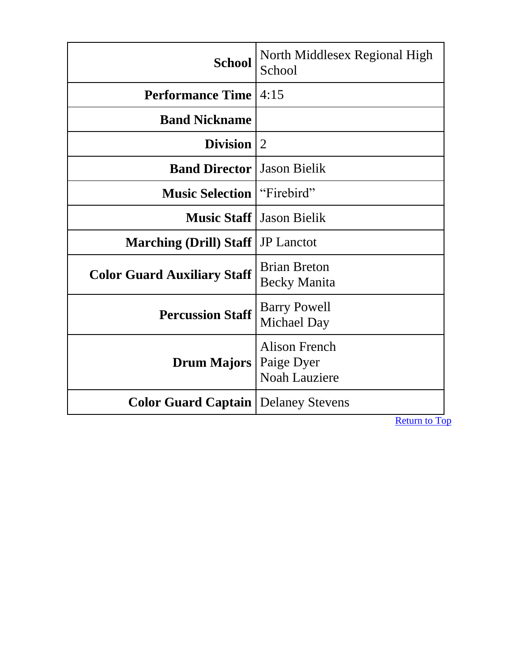<span id="page-7-0"></span>

| <b>School</b>                                | North Middlesex Regional High<br>School             |
|----------------------------------------------|-----------------------------------------------------|
| <b>Performance Time</b>                      | 4:15                                                |
| <b>Band Nickname</b>                         |                                                     |
| <b>Division</b>                              | 2                                                   |
| <b>Band Director</b>                         | <b>Jason Bielik</b>                                 |
| <b>Music Selection</b>                       | "Firebird"                                          |
| <b>Music Staff</b>                           | <b>Jason Bielik</b>                                 |
| <b>Marching (Drill) Staff</b>                | <b>JP</b> Lanctot                                   |
| <b>Color Guard Auxiliary Staff</b>           | <b>Brian Breton</b><br><b>Becky Manita</b>          |
| <b>Percussion Staff</b>                      | <b>Barry Powell</b><br>Michael Day                  |
| <b>Drum Majors</b>                           | Alison French<br>Paige Dyer<br><b>Noah Lauziere</b> |
| <b>Color Guard Captain   Delaney Stevens</b> |                                                     |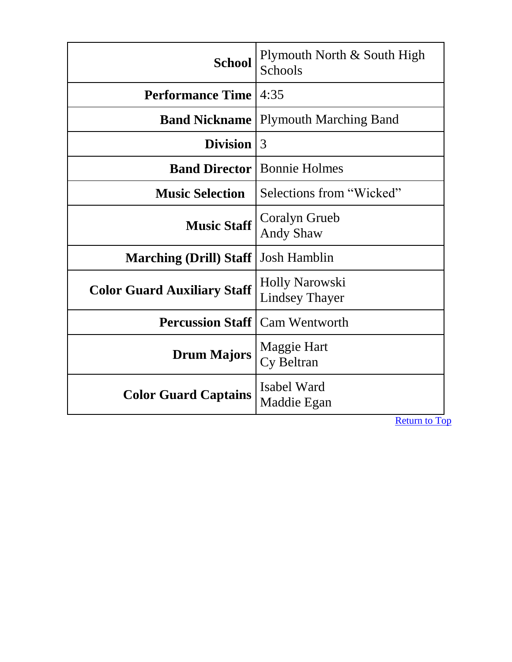<span id="page-8-0"></span>

| <b>School</b>                      | Plymouth North & South High<br><b>Schools</b>  |
|------------------------------------|------------------------------------------------|
| <b>Performance Time</b>            | 4:35                                           |
| <b>Band Nickname</b>               | <b>Plymouth Marching Band</b>                  |
| <b>Division</b>                    | 3                                              |
|                                    | <b>Band Director</b> Bonnie Holmes             |
| <b>Music Selection</b>             | Selections from "Wicked"                       |
| <b>Music Staff</b>                 | Coralyn Grueb<br><b>Andy Shaw</b>              |
| <b>Marching (Drill) Staff</b>      | <b>Josh Hamblin</b>                            |
| <b>Color Guard Auxiliary Staff</b> | <b>Holly Narowski</b><br><b>Lindsey Thayer</b> |
| <b>Percussion Staff</b>            | <b>Cam Wentworth</b>                           |
| <b>Drum Majors</b>                 | Maggie Hart<br>Cy Beltran                      |
| <b>Color Guard Captains</b>        | Isabel Ward<br>Maddie Egan                     |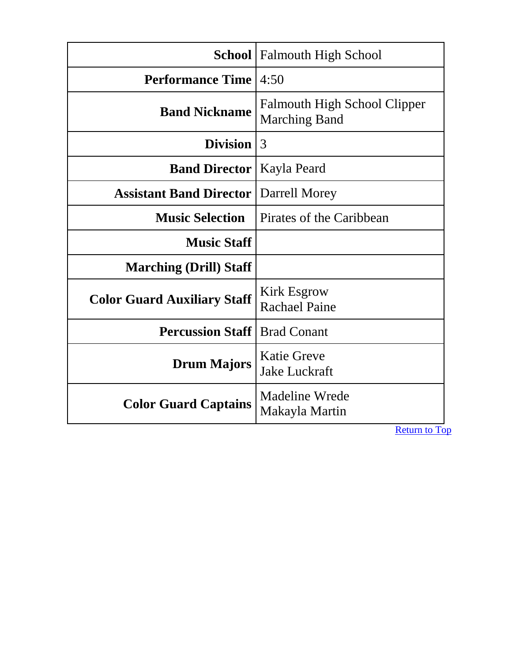<span id="page-9-0"></span>

|                                    | <b>School</b>   Falmouth High School                        |
|------------------------------------|-------------------------------------------------------------|
| <b>Performance Time</b>            | 4:50                                                        |
| <b>Band Nickname</b>               | <b>Falmouth High School Clipper</b><br><b>Marching Band</b> |
| Division $ 3$                      |                                                             |
| <b>Band Director</b>               | Kayla Peard                                                 |
| <b>Assistant Band Director</b>     | Darrell Morey                                               |
| <b>Music Selection</b>             | Pirates of the Caribbean                                    |
| <b>Music Staff</b>                 |                                                             |
| <b>Marching (Drill) Staff</b>      |                                                             |
| <b>Color Guard Auxiliary Staff</b> | <b>Kirk Esgrow</b><br><b>Rachael Paine</b>                  |
| <b>Percussion Staff</b>            | <b>Brad Conant</b>                                          |
| <b>Drum Majors</b>                 | <b>Katie Greve</b><br><b>Jake Luckraft</b>                  |
| <b>Color Guard Captains</b>        | Madeline Wrede<br>Makayla Martin                            |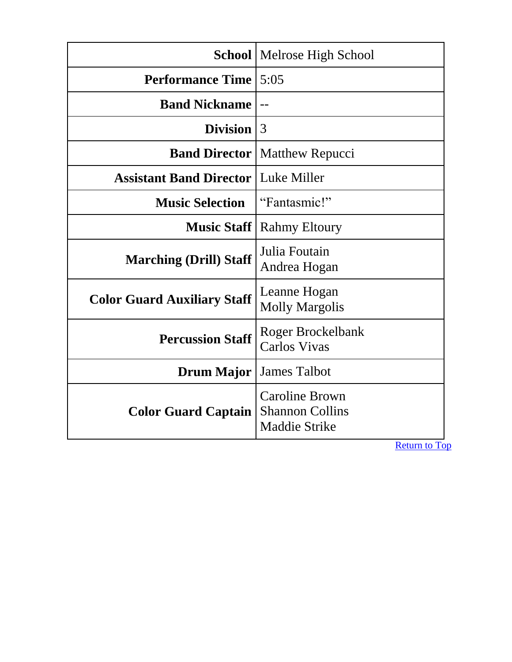<span id="page-10-0"></span>

|                                              | <b>School</b>   Melrose High School                                     |
|----------------------------------------------|-------------------------------------------------------------------------|
| <b>Performance Time</b>                      | 5:05                                                                    |
| <b>Band Nickname</b>                         | $ -$                                                                    |
| Division $ 3$                                |                                                                         |
| <b>Band Director</b>                         | <b>Matthew Repucci</b>                                                  |
| <b>Assistant Band Director   Luke Miller</b> |                                                                         |
| <b>Music Selection</b>                       | "Fantasmic!"                                                            |
| <b>Music Staff</b>                           | <b>Rahmy Eltoury</b>                                                    |
| <b>Marching (Drill) Staff</b>                | Julia Foutain<br>Andrea Hogan                                           |
| <b>Color Guard Auxiliary Staff</b>           | Leanne Hogan<br><b>Molly Margolis</b>                                   |
| <b>Percussion Staff</b>                      | <b>Roger Brockelbank</b><br><b>Carlos Vivas</b>                         |
| <b>Drum Major</b>                            | <b>James Talbot</b>                                                     |
| <b>Color Guard Captain</b>                   | <b>Caroline Brown</b><br><b>Shannon Collins</b><br><b>Maddie Strike</b> |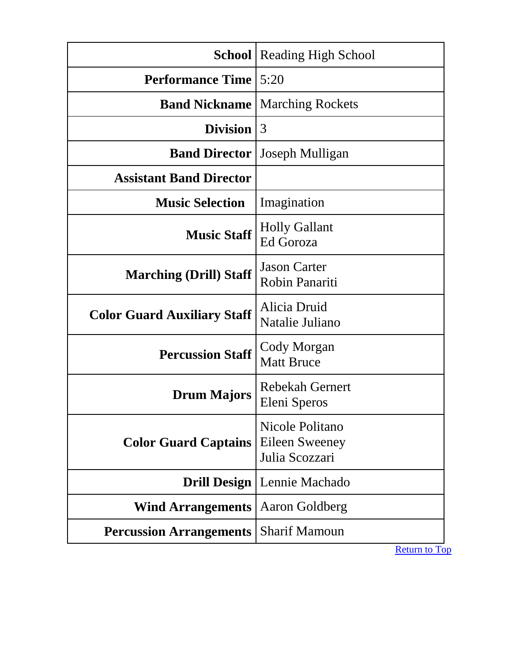<span id="page-11-0"></span>

|                                    | <b>School</b>   Reading High School                 |
|------------------------------------|-----------------------------------------------------|
| <b>Performance Time</b>            | 5:20                                                |
| <b>Band Nickname</b>               | <b>Marching Rockets</b>                             |
| <b>Division</b>                    | 3                                                   |
| <b>Band Director</b>               | Joseph Mulligan                                     |
| <b>Assistant Band Director</b>     |                                                     |
| <b>Music Selection</b>             | Imagination                                         |
| <b>Music Staff</b>                 | <b>Holly Gallant</b><br><b>Ed Goroza</b>            |
| <b>Marching (Drill) Staff</b>      | <b>Jason Carter</b><br>Robin Panariti               |
| <b>Color Guard Auxiliary Staff</b> | Alicia Druid<br>Natalie Juliano                     |
| <b>Percussion Staff</b>            | Cody Morgan<br><b>Matt Bruce</b>                    |
| <b>Drum Majors</b>                 | Rebekah Gernert<br>Eleni Speros                     |
| <b>Color Guard Captains</b>        | Nicole Politano<br>Eileen Sweeney<br>Julia Scozzari |
| <b>Drill Design</b>                | Lennie Machado                                      |
| <b>Wind Arrangements</b>           | Aaron Goldberg                                      |
| <b>Percussion Arrangements</b>     | <b>Sharif Mamoun</b>                                |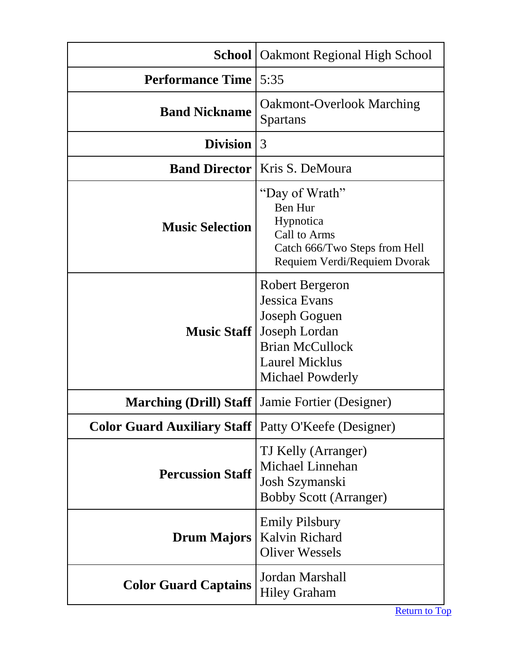<span id="page-12-0"></span>

|                                                               | <b>School</b>   Oakmont Regional High School                                                                                                     |
|---------------------------------------------------------------|--------------------------------------------------------------------------------------------------------------------------------------------------|
| <b>Performance Time</b>                                       | 5:35                                                                                                                                             |
| <b>Band Nickname</b>                                          | <b>Oakmont-Overlook Marching</b><br><b>Spartans</b>                                                                                              |
| <b>Division</b>                                               | 3                                                                                                                                                |
| <b>Band Director</b>                                          | Kris S. DeMoura                                                                                                                                  |
| <b>Music Selection</b>                                        | "Day of Wrath"<br>Ben Hur<br>Hypnotica<br>Call to Arms<br>Catch 666/Two Steps from Hell<br>Requiem Verdi/Requiem Dvorak                          |
| <b>Music Staff</b>                                            | Robert Bergeron<br><b>Jessica Evans</b><br>Joseph Goguen<br>Joseph Lordan<br><b>Brian McCullock</b><br><b>Laurel Micklus</b><br>Michael Powderly |
| Marching (Drill) Staff                                        | Jamie Fortier (Designer)                                                                                                                         |
| <b>Color Guard Auxiliary Staff</b>   Patty O'Keefe (Designer) |                                                                                                                                                  |
| <b>Percussion Staff</b>                                       | TJ Kelly (Arranger)<br>Michael Linnehan<br>Josh Szymanski<br><b>Bobby Scott (Arranger)</b>                                                       |
| <b>Drum Majors</b>                                            | <b>Emily Pilsbury</b><br>Kalvin Richard<br><b>Oliver Wessels</b>                                                                                 |
| <b>Color Guard Captains</b>                                   | Jordan Marshall<br><b>Hiley Graham</b>                                                                                                           |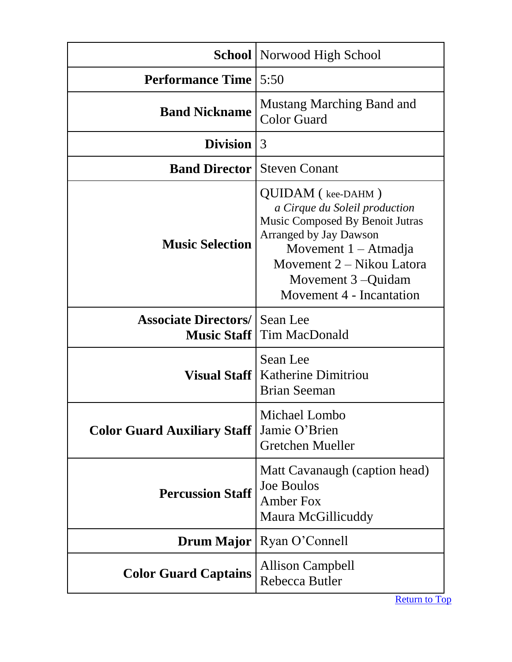<span id="page-13-0"></span>

|                                        | <b>School</b> Norwood High School                                                                                                                                                                                                |
|----------------------------------------|----------------------------------------------------------------------------------------------------------------------------------------------------------------------------------------------------------------------------------|
| <b>Performance Time</b>                | 5:50                                                                                                                                                                                                                             |
| <b>Band Nickname</b>                   | <b>Mustang Marching Band and</b><br><b>Color Guard</b>                                                                                                                                                                           |
| Division $ 3$                          |                                                                                                                                                                                                                                  |
| <b>Band Director</b>                   | <b>Steven Conant</b>                                                                                                                                                                                                             |
| <b>Music Selection</b>                 | QUIDAM (kee-DAHM)<br>a Cirque du Soleil production<br>Music Composed By Benoit Jutras<br><b>Arranged by Jay Dawson</b><br>Movement $1 -$ Atmadja<br>Movement 2 – Nikou Latora<br>Movement 3 – Quidam<br>Movement 4 - Incantation |
| <b>Associate Directors/   Sean Lee</b> | <b>Music Staff</b>   Tim MacDonald                                                                                                                                                                                               |
|                                        | Sean Lee<br><b>Visual Staff   Katherine Dimitriou</b><br><b>Brian Seeman</b>                                                                                                                                                     |
| <b>Color Guard Auxiliary Staff</b>     | Michael Lombo<br>Jamie O'Brien<br>Gretchen Mueller                                                                                                                                                                               |
| <b>Percussion Staff</b>                | Matt Cavanaugh (caption head)<br><b>Joe Boulos</b><br><b>Amber Fox</b><br>Maura McGillicuddy                                                                                                                                     |
|                                        | <b>Drum Major</b>   Ryan O'Connell                                                                                                                                                                                               |
| <b>Color Guard Captains</b>            | <b>Allison Campbell</b><br>Rebecca Butler                                                                                                                                                                                        |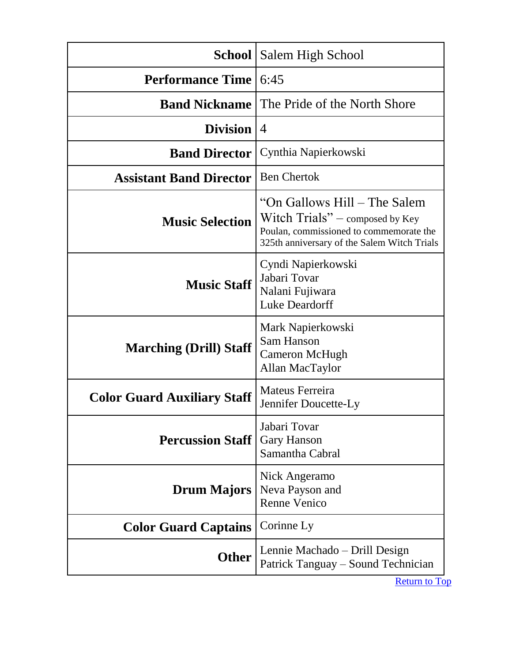<span id="page-14-0"></span>

| School                             | Salem High School                                                                                                                                            |
|------------------------------------|--------------------------------------------------------------------------------------------------------------------------------------------------------------|
| <b>Performance Time</b>            | 6:45                                                                                                                                                         |
| <b>Band Nickname</b>               | The Pride of the North Shore                                                                                                                                 |
| <b>Division</b>                    | $\overline{4}$                                                                                                                                               |
| <b>Band Director</b>               | Cynthia Napierkowski                                                                                                                                         |
| <b>Assistant Band Director</b>     | <b>Ben Chertok</b>                                                                                                                                           |
| <b>Music Selection</b>             | "On Gallows Hill – The Salem"<br>Witch $Trials"$ – composed by Key<br>Poulan, commissioned to commemorate the<br>325th anniversary of the Salem Witch Trials |
| <b>Music Staff</b>                 | Cyndi Napierkowski<br>Jabari Tovar<br>Nalani Fujiwara<br><b>Luke Deardorff</b>                                                                               |
| <b>Marching (Drill) Staff</b>      | Mark Napierkowski<br>Sam Hanson<br>Cameron McHugh<br>Allan MacTaylor                                                                                         |
| <b>Color Guard Auxiliary Staff</b> | Mateus Ferreira<br>Jennifer Doucette-Ly                                                                                                                      |
| <b>Percussion Staff</b>            | Jabari Tovar<br>Gary Hanson<br>Samantha Cabral                                                                                                               |
| <b>Drum Majors</b>                 | Nick Angeramo<br>Neva Payson and<br><b>Renne Venico</b>                                                                                                      |
| <b>Color Guard Captains</b>        | Corinne Ly                                                                                                                                                   |
| <b>Other</b>                       | Lennie Machado – Drill Design<br>Patrick Tanguay - Sound Technician                                                                                          |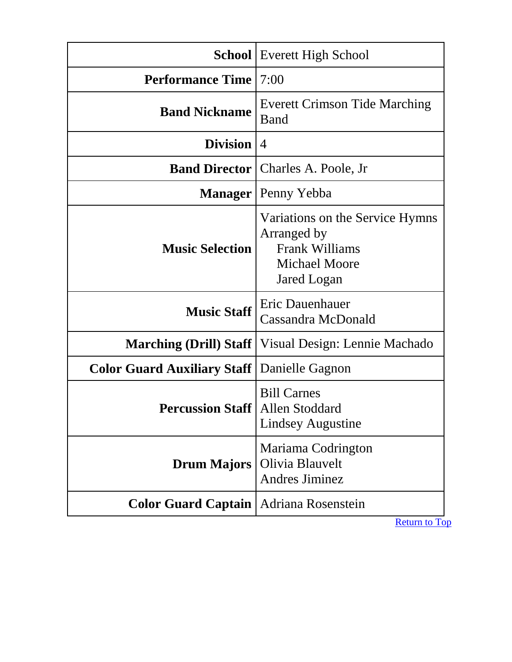<span id="page-15-0"></span>

|                                                      | <b>School</b> Everett High School                                                                |
|------------------------------------------------------|--------------------------------------------------------------------------------------------------|
| <b>Performance Time</b>                              | 7:00                                                                                             |
| <b>Band Nickname</b>                                 | <b>Everett Crimson Tide Marching</b><br>Band                                                     |
| Division                                             | $\overline{4}$                                                                                   |
|                                                      | <b>Band Director   Charles A. Poole, Jr</b>                                                      |
|                                                      | <b>Manager</b>   Penny Yebba                                                                     |
| <b>Music Selection</b>                               | Variations on the Service Hymns<br>Arranged by<br>Frank Williams<br>Michael Moore<br>Jared Logan |
| <b>Music Staff</b>                                   | Eric Dauenhauer<br>Cassandra McDonald                                                            |
|                                                      | <b>Marching (Drill) Staff</b>   Visual Design: Lennie Machado                                    |
| <b>Color Guard Auxiliary Staff   Danielle Gagnon</b> |                                                                                                  |
| <b>Percussion Staff   Allen Stoddard</b>             | <b>Bill Carnes</b><br>Lindsey Augustine                                                          |
| <b>Drum Majors</b>                                   | Mariama Codrington<br>Olivia Blauvelt<br><b>Andres Jiminez</b>                                   |
| <b>Color Guard Captain</b>                           | Adriana Rosenstein                                                                               |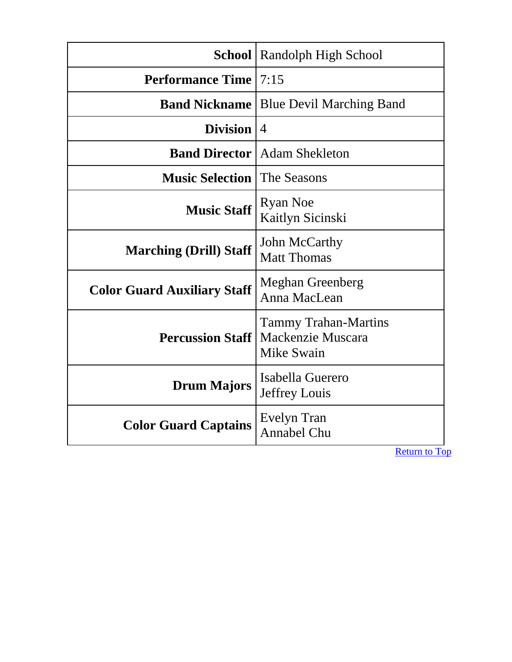<span id="page-16-0"></span>

|                                    | <b>School</b>   Randolph High School                           |
|------------------------------------|----------------------------------------------------------------|
| <b>Performance Time</b>            | 7:15                                                           |
| <b>Band Nickname</b>               | <b>Blue Devil Marching Band</b>                                |
| <b>Division</b>                    | $\overline{4}$                                                 |
| <b>Band Director</b>               | <b>Adam Shekleton</b>                                          |
| <b>Music Selection</b> I           | The Seasons                                                    |
| <b>Music Staff</b>                 | <b>Ryan Noe</b><br>Kaitlyn Sicinski                            |
| <b>Marching (Drill) Staff</b>      | John McCarthy<br><b>Matt Thomas</b>                            |
| <b>Color Guard Auxiliary Staff</b> | <b>Meghan Greenberg</b><br>Anna MacLean                        |
| <b>Percussion Staff</b>            | <b>Tammy Trahan-Martins</b><br>Mackenzie Muscara<br>Mike Swain |
| <b>Drum Majors</b>                 | Isabella Guerero<br>Jeffrey Louis                              |
| <b>Color Guard Captains</b>        | Evelyn Tran<br>Annabel Chu                                     |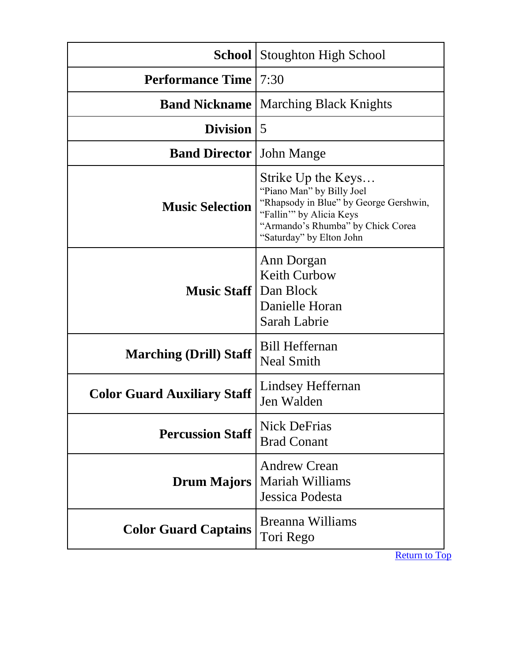<span id="page-17-0"></span>

|                                    | <b>School</b> Stoughton High School                                                                                                                                                   |
|------------------------------------|---------------------------------------------------------------------------------------------------------------------------------------------------------------------------------------|
| <b>Performance Time</b>            | 7:30                                                                                                                                                                                  |
| <b>Band Nickname</b>               | <b>Marching Black Knights</b>                                                                                                                                                         |
| <b>Division</b>                    | 5                                                                                                                                                                                     |
| <b>Band Director</b>               | <b>John Mange</b>                                                                                                                                                                     |
| <b>Music Selection</b>             | Strike Up the Keys<br>"Piano Man" by Billy Joel<br>"Rhapsody in Blue" by George Gershwin,<br>"Fallin" by Alicia Keys<br>"Armando's Rhumba" by Chick Corea<br>"Saturday" by Elton John |
| <b>Music Staff</b> Dan Block       | Ann Dorgan<br><b>Keith Curbow</b><br>Danielle Horan<br>Sarah Labrie                                                                                                                   |
| <b>Marching (Drill) Staff</b>      | <b>Bill Heffernan</b><br><b>Neal Smith</b>                                                                                                                                            |
| <b>Color Guard Auxiliary Staff</b> | Lindsey Heffernan<br>Jen Walden                                                                                                                                                       |
| <b>Percussion Staff</b>            | <b>Nick DeFrias</b><br><b>Brad Conant</b>                                                                                                                                             |
| <b>Drum Majors</b>                 | <b>Andrew Crean</b><br><b>Mariah Williams</b><br>Jessica Podesta                                                                                                                      |
| <b>Color Guard Captains</b>        | Breanna Williams<br>Tori Rego                                                                                                                                                         |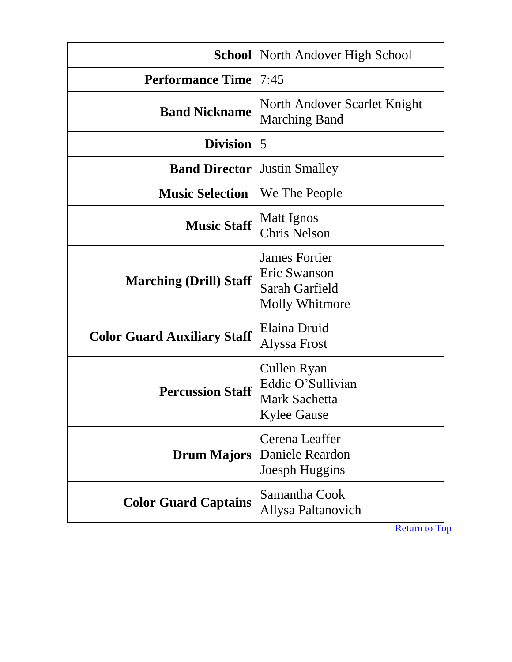<span id="page-18-0"></span>

|                                    | <b>School</b> North Andover High School                                        |
|------------------------------------|--------------------------------------------------------------------------------|
| <b>Performance Time</b>            | 7:45                                                                           |
| <b>Band Nickname</b>               | North Andover Scarlet Knight<br><b>Marching Band</b>                           |
| <b>Division</b>                    | $\overline{5}$                                                                 |
| <b>Band Director</b>               | <b>Justin Smalley</b>                                                          |
| <b>Music Selection</b>             | We The People                                                                  |
| <b>Music Staff</b>                 | Matt Ignos<br><b>Chris Nelson</b>                                              |
| <b>Marching (Drill) Staff</b>      | <b>James Fortier</b><br>Eric Swanson<br>Sarah Garfield<br>Molly Whitmore       |
| <b>Color Guard Auxiliary Staff</b> | Elaina Druid<br>Alyssa Frost                                                   |
| <b>Percussion Staff</b>            | Cullen Ryan<br>Eddie O'Sullivian<br><b>Mark Sachetta</b><br><b>Kylee Gause</b> |
| <b>Drum Majors</b>                 | Cerena Leaffer<br>Daniele Reardon<br>Joesph Huggins                            |
| <b>Color Guard Captains</b>        | Samantha Cook<br>Allysa Paltanovich                                            |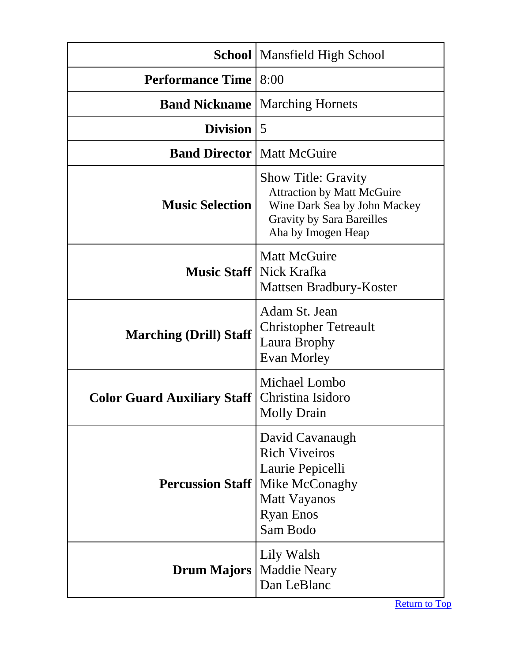<span id="page-19-0"></span>

|                                     | <b>School</b>   Mansfield High School                                                                                                                     |
|-------------------------------------|-----------------------------------------------------------------------------------------------------------------------------------------------------------|
| <b>Performance Time</b>             | 8:00                                                                                                                                                      |
|                                     | <b>Band Nickname</b>   Marching Hornets                                                                                                                   |
| <b>Division</b>                     | $\overline{5}$                                                                                                                                            |
| <b>Band Director   Matt McGuire</b> |                                                                                                                                                           |
| <b>Music Selection</b>              | <b>Show Title: Gravity</b><br><b>Attraction by Matt McGuire</b><br>Wine Dark Sea by John Mackey<br><b>Gravity by Sara Bareilles</b><br>Aha by Imogen Heap |
|                                     | <b>Matt McGuire</b><br><b>Music Staff</b> Nick Krafka<br>Mattsen Bradbury-Koster                                                                          |
| <b>Marching (Drill) Staff</b>       | Adam St. Jean<br><b>Christopher Tetreault</b><br>Laura Brophy<br>Evan Morley                                                                              |
| <b>Color Guard Auxiliary Staff</b>  | Michael Lombo<br>Christina Isidoro<br><b>Molly Drain</b>                                                                                                  |
| <b>Percussion Staff</b>             | David Cavanaugh<br><b>Rich Viveiros</b><br>Laurie Pepicelli<br>Mike McConaghy<br><b>Matt Vayanos</b><br><b>Ryan Enos</b><br>Sam Bodo                      |
| <b>Drum Majors</b>                  | Lily Walsh<br><b>Maddie Neary</b><br>Dan LeBlanc                                                                                                          |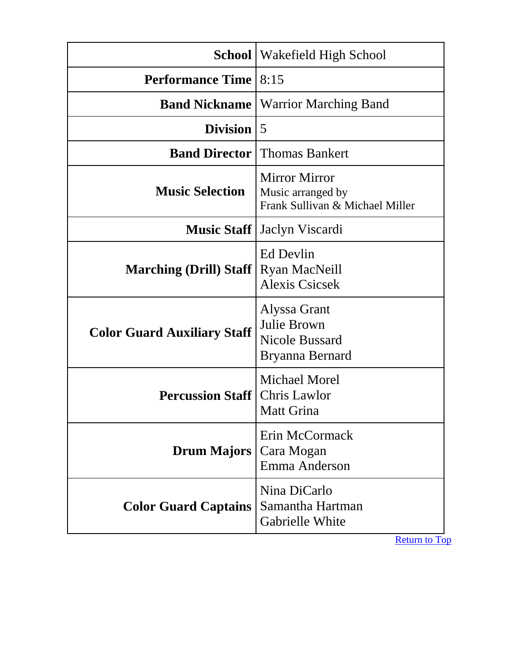<span id="page-20-0"></span>

|                                    | <b>School</b>   Wakefield High School                                        |
|------------------------------------|------------------------------------------------------------------------------|
| <b>Performance Time</b>            | 8:15                                                                         |
| <b>Band Nickname</b>               | <b>Warrior Marching Band</b>                                                 |
| <b>Division</b>                    | 5                                                                            |
| <b>Band Director</b>               | <b>Thomas Bankert</b>                                                        |
| <b>Music Selection</b>             | <b>Mirror Mirror</b><br>Music arranged by<br>Frank Sullivan & Michael Miller |
|                                    | <b>Music Staff</b>   Jaclyn Viscardi                                         |
| <b>Marching (Drill) Staff</b>      | Ed Devlin<br><b>Ryan MacNeill</b><br><b>Alexis Csicsek</b>                   |
| <b>Color Guard Auxiliary Staff</b> | Alyssa Grant<br>Julie Brown<br><b>Nicole Bussard</b><br>Bryanna Bernard      |
| <b>Percussion Staff</b>            | <b>Michael Morel</b><br><b>Chris Lawlor</b><br>Matt Grina                    |
| <b>Drum Majors</b>                 | Erin McCormack<br>Cara Mogan<br>Emma Anderson                                |
| <b>Color Guard Captains</b>        | Nina DiCarlo<br>Samantha Hartman<br>Gabrielle White                          |